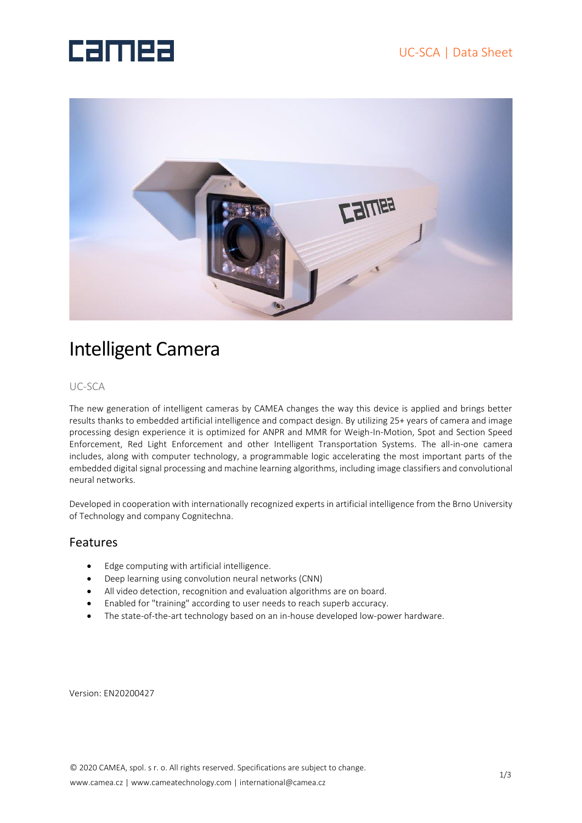# **Camea**



## Intelligent Camera

#### UC-SCA

The new generation of intelligent cameras by CAMEA changes the way this device is applied and brings better results thanks to embedded artificial intelligence and compact design. By utilizing 25+ years of camera and image processing design experience it is optimized for ANPR and MMR for Weigh-In-Motion, Spot and Section Speed Enforcement, Red Light Enforcement and other Intelligent Transportation Systems. The all-in-one camera includes, along with computer technology, a programmable logic accelerating the most important parts of the embedded digital signal processing and machine learning algorithms, including image classifiers and convolutional neural networks.

Developed in cooperation with internationally recognized experts in artificial intelligence from the Brno University of Technology and company Cognitechna.

#### Features

- Edge computing with artificial intelligence.
- Deep learning using convolution neural networks (CNN)
- All video detection, recognition and evaluation algorithms are on board.
- Enabled for "training" according to user needs to reach superb accuracy.
- The state-of-the-art technology based on an in-house developed low-power hardware.

Version: EN20200427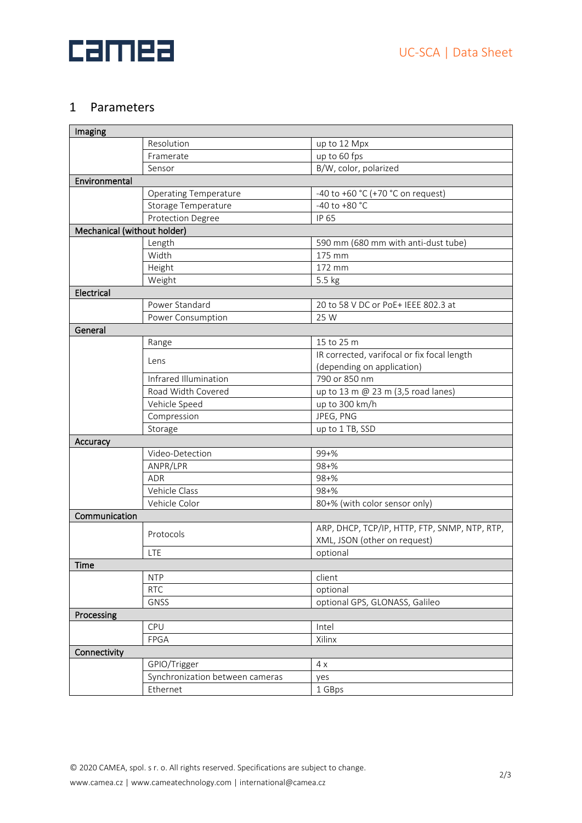

#### 1 Parameters

| Imaging                     |                                 |                                               |  |  |  |  |  |
|-----------------------------|---------------------------------|-----------------------------------------------|--|--|--|--|--|
|                             | Resolution                      | up to 12 Mpx                                  |  |  |  |  |  |
|                             | Framerate                       | up to 60 fps                                  |  |  |  |  |  |
|                             | Sensor                          | B/W, color, polarized                         |  |  |  |  |  |
| Environmental               |                                 |                                               |  |  |  |  |  |
|                             | <b>Operating Temperature</b>    | -40 to +60 °C (+70 °C on request)             |  |  |  |  |  |
|                             | Storage Temperature             | -40 to +80 $^{\circ}$ C                       |  |  |  |  |  |
|                             | Protection Degree               | IP 65                                         |  |  |  |  |  |
| Mechanical (without holder) |                                 |                                               |  |  |  |  |  |
|                             | Length                          | 590 mm (680 mm with anti-dust tube)           |  |  |  |  |  |
|                             | Width                           | 175 mm                                        |  |  |  |  |  |
|                             | Height                          | 172 mm                                        |  |  |  |  |  |
|                             | Weight                          | 5.5 kg                                        |  |  |  |  |  |
| Electrical                  |                                 |                                               |  |  |  |  |  |
|                             | Power Standard                  | 20 to 58 V DC or PoE+ IEEE 802.3 at           |  |  |  |  |  |
|                             | Power Consumption               | 25 W                                          |  |  |  |  |  |
| General                     |                                 |                                               |  |  |  |  |  |
|                             | Range                           | 15 to 25 m                                    |  |  |  |  |  |
|                             | Lens                            | IR corrected, varifocal or fix focal length   |  |  |  |  |  |
|                             |                                 | (depending on application)                    |  |  |  |  |  |
|                             | Infrared Illumination           | 790 or 850 nm                                 |  |  |  |  |  |
|                             | Road Width Covered              | up to 13 m @ 23 m (3,5 road lanes)            |  |  |  |  |  |
|                             | Vehicle Speed                   | up to 300 km/h                                |  |  |  |  |  |
|                             | Compression                     | JPEG, PNG                                     |  |  |  |  |  |
|                             | Storage                         | up to 1 TB, SSD                               |  |  |  |  |  |
| Accuracy                    |                                 |                                               |  |  |  |  |  |
|                             | Video-Detection                 | $99 + \%$                                     |  |  |  |  |  |
|                             | ANPR/LPR                        | $98 + \%$                                     |  |  |  |  |  |
|                             | <b>ADR</b>                      | $98 + \%$                                     |  |  |  |  |  |
|                             | Vehicle Class                   | $98 + \%$                                     |  |  |  |  |  |
|                             | Vehicle Color                   | 80+% (with color sensor only)                 |  |  |  |  |  |
| Communication               |                                 |                                               |  |  |  |  |  |
|                             | Protocols                       | ARP, DHCP, TCP/IP, HTTP, FTP, SNMP, NTP, RTP, |  |  |  |  |  |
|                             |                                 | XML, JSON (other on request)                  |  |  |  |  |  |
|                             | LTE                             | optional                                      |  |  |  |  |  |
| Time                        |                                 |                                               |  |  |  |  |  |
|                             | <b>NTP</b>                      | client                                        |  |  |  |  |  |
|                             | <b>RTC</b>                      | optional                                      |  |  |  |  |  |
|                             | GNSS                            | optional GPS, GLONASS, Galileo                |  |  |  |  |  |
| Processing                  |                                 |                                               |  |  |  |  |  |
|                             | CPU                             | Intel                                         |  |  |  |  |  |
|                             | FPGA                            | Xilinx                                        |  |  |  |  |  |
| Connectivity                |                                 |                                               |  |  |  |  |  |
|                             | GPIO/Trigger                    | 4x                                            |  |  |  |  |  |
|                             | Synchronization between cameras | yes                                           |  |  |  |  |  |
|                             | Ethernet                        | 1 GBps                                        |  |  |  |  |  |